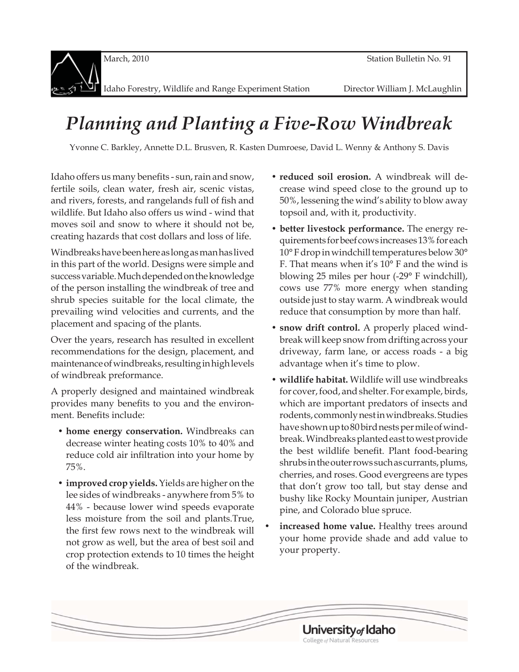

Idaho Forestry, Wildlife and Range Experiment Station Director William J. McLaughlin

# *Planning and Planting a Five-Row Windbreak*

Yvonne C. Barkley, Annette D.L. Brusven, R. Kasten Dumroese, David L. Wenny & Anthony S. Davis

Idaho offers us many benefits - sun, rain and snow, fertile soils, clean water, fresh air, scenic vistas, and rivers, forests, and rangelands full of fish and wildlife. But Idaho also offers us wind - wind that moves soil and snow to where it should not be, creating hazards that cost dollars and loss of life.

Windbreaks have been here as long as man has lived in this part of the world. Designs were simple and success variable. Much depended on the knowledge of the person installing the windbreak of tree and shrub species suitable for the local climate, the prevailing wind velocities and currents, and the placement and spacing of the plants.

Over the years, research has resulted in excellent recommendations for the design, placement, and maintenance of windbreaks, resulting in high levels of windbreak preformance.

A properly designed and maintained windbreak provides many benefits to you and the environment. Benefits include:

- **home energy conservation.** Windbreaks can decrease winter heating costs 10% to 40% and reduce cold air infiltration into your home by 75%.
- **improved crop yields.** Yields are higher on the lee sides of windbreaks - anywhere from 5% to 44% - because lower wind speeds evaporate less moisture from the soil and plants.True, the first few rows next to the windbreak will not grow as well, but the area of best soil and crop protection extends to 10 times the height of the windbreak.
- **reduced soil erosion.** A windbreak will decrease wind speed close to the ground up to 50%, lessening the wind's ability to blow away topsoil and, with it, productivity.
- **better livestock performance.** The energy requirements for beef cows increases 13% for each 10° F drop in windchill temperatures below 30° F. That means when it's 10° F and the wind is blowing 25 miles per hour (-29° F windchill), cows use 77% more energy when standing outside just to stay warm. A windbreak would reduce that consumption by more than half.
- **snow drift control.** A properly placed windbreak will keep snow from drifting across your driveway, farm lane, or access roads - a big advantage when it's time to plow.
- **wildlife habitat.** Wildlife will use windbreaks for cover, food, and shelter. For example, birds, which are important predators of insects and rodents, commonly nest in windbreaks. Studies have shown up to 80 bird nests per mile of windbreak. Windbreaks planted east to west provide the best wildlife benefit. Plant food-bearing shrubs in the outer rows such as currants, plums, cherries, and roses. Good evergreens are types that don't grow too tall, but stay dense and bushy like Rocky Mountain juniper, Austrian pine, and Colorado blue spruce.
- **increased home value.** Healthy trees around your home provide shade and add value to your property.

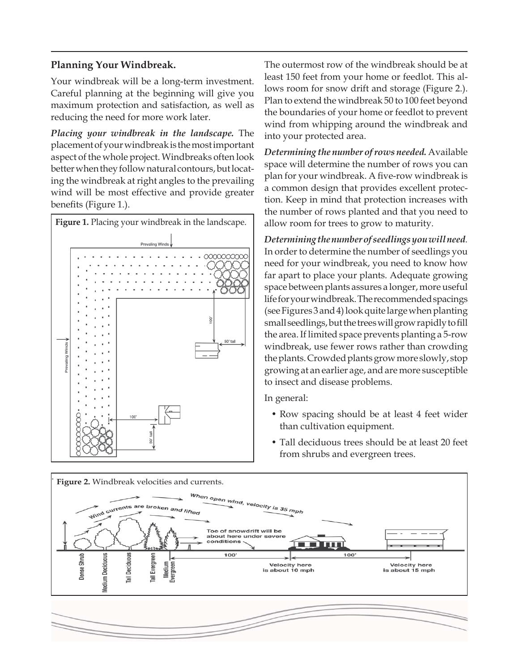### **Planning Your Windbreak.**

Your windbreak will be a long-term investment. Careful planning at the beginning will give you maximum protection and satisfaction, as well as reducing the need for more work later.

*Placing your windbreak in the landscape.* The placement of your windbreak is the most important aspect of the whole project. Windbreaks often look better when they follow natural contours, but locating the windbreak at right angles to the prevailing wind will be most effective and provide greater benefits (Figure 1.).



The outermost row of the windbreak should be at least 150 feet from your home or feedlot. This allows room for snow drift and storage (Figure 2.). Plan to extend the windbreak 50 to 100 feet beyond the boundaries of your home or feedlot to prevent wind from whipping around the windbreak and into your protected area.

*Determining the number of rows needed.* Available space will determine the number of rows you can plan for your windbreak. A five-row windbreak is a common design that provides excellent protection. Keep in mind that protection increases with the number of rows planted and that you need to allow room for trees to grow to maturity.

*Determining the number of seedlings you will need.*  In order to determine the number of seedlings you need for your windbreak, you need to know how far apart to place your plants. Adequate growing space between plants assures a longer, more useful life for your windbreak. The recommended spacings (see Figures 3 and 4) look quite large when planting small seedlings, but the trees will grow rapidly to fill the area. If limited space prevents planting a 5-row windbreak, use fewer rows rather than crowding the plants. Crowded plants grow more slowly, stop growing at an earlier age, and are more susceptible to insect and disease problems.

In general:

- Row spacing should be at least 4 feet wider than cultivation equipment.
- Tall deciduous trees should be at least 20 feet from shrubs and evergreen trees.

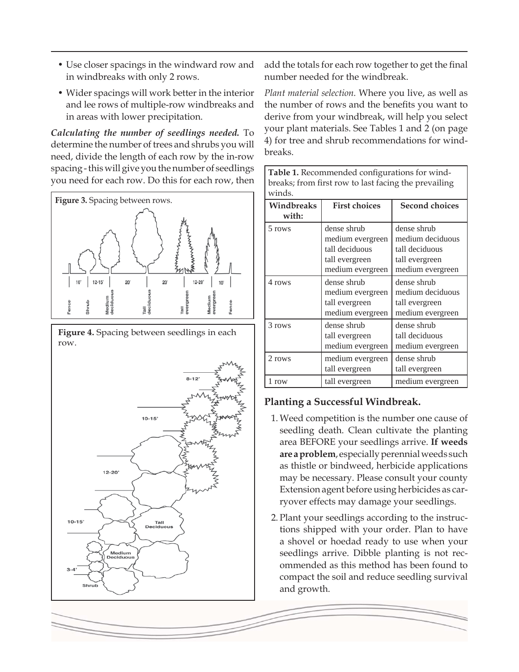- Use closer spacings in the windward row and in windbreaks with only 2 rows.
- Wider spacings will work better in the interior and lee rows of multiple-row windbreaks and in areas with lower precipitation.

*Calculating the number of seedlings needed.* To determine the number of trees and shrubs you will need, divide the length of each row by the in-row spacing - this will give you the number of seedlings you need for each row. Do this for each row, then







add the totals for each row together to get the final number needed for the windbreak.

*Plant material selection.* Where you live, as well as the number of rows and the benefits you want to derive from your windbreak, will help you select your plant materials. See Tables 1 and 2 (on page 4) for tree and shrub recommendations for windbreaks.

Table 1. Recommended configurations for wind-

| breaks; from first row to last facing the prevailing<br>winds. |                                                                                         |                                                                                         |  |  |  |
|----------------------------------------------------------------|-----------------------------------------------------------------------------------------|-----------------------------------------------------------------------------------------|--|--|--|
| Windbreaks<br>with:                                            | <b>First choices</b>                                                                    | <b>Second choices</b>                                                                   |  |  |  |
| 5 rows                                                         | dense shrub<br>medium evergreen<br>tall deciduous<br>tall evergreen<br>medium evergreen | dense shrub<br>medium deciduous<br>tall deciduous<br>tall evergreen<br>medium evergreen |  |  |  |
| 4 rows                                                         | dense shrub<br>medium evergreen<br>tall evergreen<br>medium evergreen                   | dense shrub<br>medium deciduous<br>tall evergreen<br>medium evergreen                   |  |  |  |
| 3 rows                                                         | dense shrub<br>tall evergreen<br>medium evergreen                                       | dense shrub<br>tall deciduous<br>medium evergreen                                       |  |  |  |
| 2 rows                                                         | medium evergreen<br>tall evergreen                                                      | dense shrub<br>tall evergreen                                                           |  |  |  |
| 1 row                                                          | tall evergreen                                                                          | medium evergreen                                                                        |  |  |  |

## **Planting a Successful Windbreak.**

- 1. Weed competition is the number one cause of seedling death. Clean cultivate the planting area BEFORE your seedlings arrive. **If weeds are a problem**, especially perennial weeds such as thistle or bindweed, herbicide applications may be necessary. Please consult your county Extension agent before using herbicides as carryover effects may damage your seedlings.
- 2. Plant your seedlings according to the instructions shipped with your order. Plan to have a shovel or hoedad ready to use when your seedlings arrive. Dibble planting is not recommended as this method has been found to compact the soil and reduce seedling survival and growth.